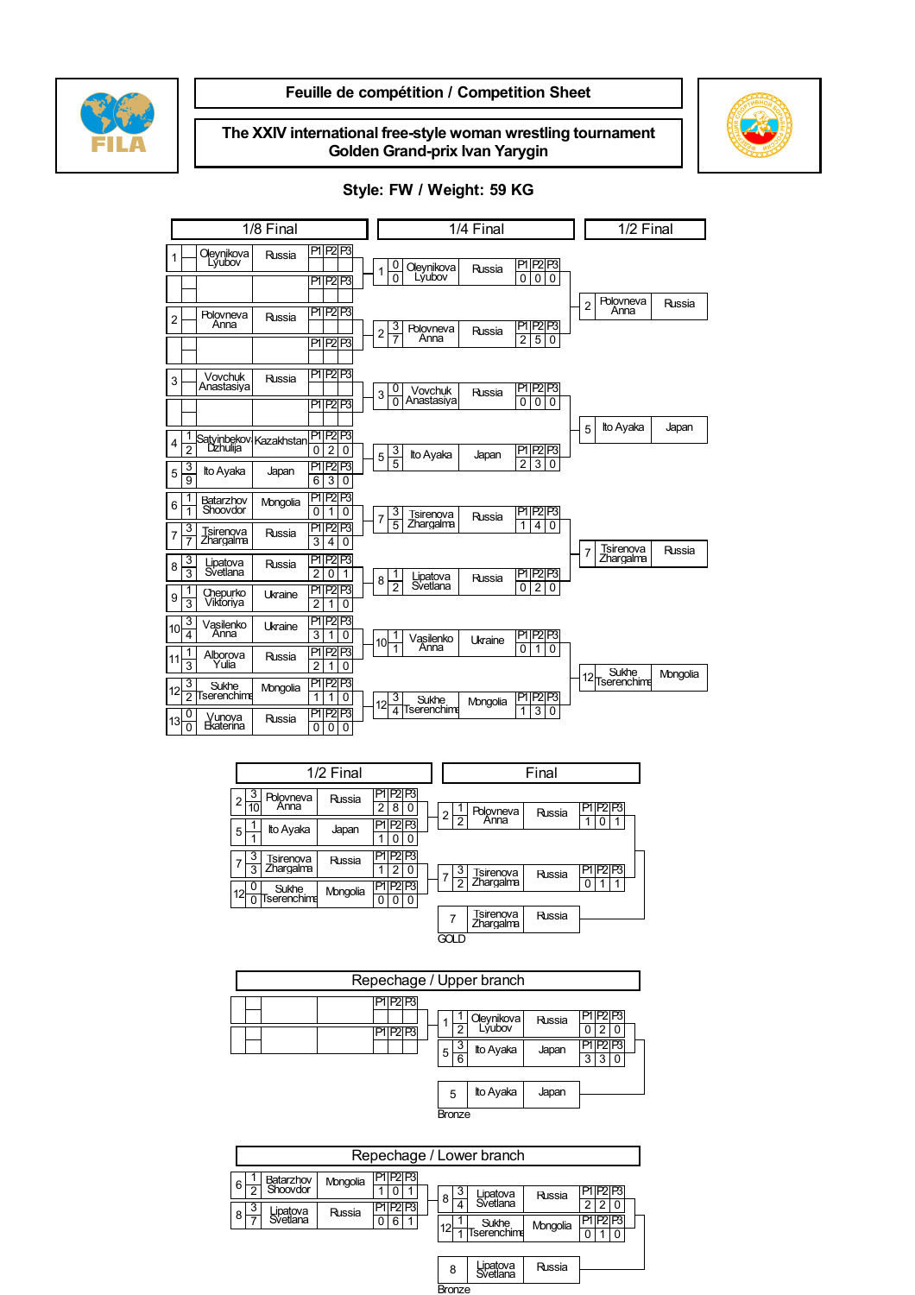

### Feuille de compétition / Competition Sheet

The XXIV international free-style woman wrestling tournament Golden Grand-prix Ivan Yarygin



#### 1/8 Final 1/4 Final 1/2 Final 1/2 Final 1 **Oleynikova** Russia P1 P2 P3 P1 P2 P3 2 Polovneva Russia P1 P2 P3 P1 P2 P3  $3$  Vovchuk Anastasiya Russia P1 P2 P3 P1 P2 P3 4 1 Satyinbekov Kazakhstan P1 P2 P3<br>2 Dzhulija  $rac{3}{9}$  $\frac{3}{9}$  Ito Ayaka Japan  $\frac{P1 P2 P3}{6 3 0}$ 6 1 Batarzhov Mongolia P1 P2 P3<br>1 Shoovdor Mongolia 0 1 0  $0 1 0$ 7 3 Tsirenova Russia PIP2P3<br>7 Zhargalma 3 4 0 Russia P1 P2 P3<br>3 4 0 8  $\frac{3}{3}$  Lipatova<br> $\frac{3}{3}$  Svetlana Russia P1 P2 P3  $2 0 1$  $9\frac{1}{3}$ 1 Chepurko Ukraine PIP2P3<br>3 Viktoriya 1210 Ukraine P1 P2 P3  $10\frac{3}{4}$ Vasilenko<br>Anna Ukraine P1 P2 P3  $\overline{\overline{\mathfrak{sl}}\mathfrak{q}}$  $11\frac{1}{3}$ Alborova<br>Yulia Russia PIP<sub>2</sub> P3  $\frac{1}{2}$  1 0  $12\frac{3}{2}$ 3 Sukhe Mongolia P1 P2 P3<br>2 Tserenchime Mongolia  $\frac{|P1|P2|P3|}{|1|1|0|}$  $13\frac{0}{0}$ Vunova<br>Ekaterina Russia P1 P2 P3  $0 0 0$ 1 0 Oleynikova Russia PIP2P3<br>0 0 Lyubov Russia P1 P2 P3  $2\frac{3}{7}$ 3 Polovneva Russia P1 P2 P3<br>7 Anna 2 5 0 Russia P1 P2 P3  $\frac{3}{2}$ 0 Vovchuk Russia PIP2P3<br>0 Anastasiya 10 0 0 0 Russia P1 P2 P3  $5\frac{3}{5}$  $\begin{array}{|c|c|c|c|}\n \hline\n 3 & \text{Ito Ayaka} & \text{Japan} & \boxed{P|P2|P3}\n \hline\n 5 & 2 & 3 & 0\n \end{array}$  $7\frac{3}{5}$ 3 Tsirenova<br>5 Zhargalma  $\begin{array}{|c|c|c|c|}\n 3 & Tsirenova & Russia & P1|P2|P3 \ \hline 5 & Zhargalma & 1 4 0\n\end{array}$  $8\frac{1}{2}$ Lipatova<br>Svetlana Russia P1 P2 P3  $0 2 0$  $10\frac{1}{1}$ Vasilenko<br>Anna 1 Vasilenko Ukraine P1 P2 P3<br>1 Anna 0 1 0 12 3 Sukhe Mongolia P1 P2 P3<br>
4 Tserenchime<br>
1 3 0 2 Polovneva Russia 5 Ito Ayaka Japan 7 Tsirenova Zhargalma Russia 12 Sukhe Mongolia



| Repechage / Upper branch |                                |  |  |
|--------------------------|--------------------------------|--|--|
|                          | Oleynikova<br>Russia<br>.ṽubov |  |  |
|                          | Ito Ayaka<br>Japan<br>5<br>6   |  |  |

| Ito Ayaka<br>5 |  | Japan |  |  |  |  |
|----------------|--|-------|--|--|--|--|
| Bronze         |  |       |  |  |  |  |

|        | Repechage / Lower branch   |          |                                 |    |                      |          |                                      |
|--------|----------------------------|----------|---------------------------------|----|----------------------|----------|--------------------------------------|
| 6      | Batarzhov<br>Shoovdor<br>c | Mongolia | PIP <sub>2</sub> P <sub>3</sub> | 8  | Lipatova<br>Svetlana | Russia   |                                      |
| 8      | 3<br>Lipatova<br>Svetlana  | Russia   | P2P3<br>P١<br>6<br>0            | 12 | Sukhe<br>Tserenchime | Mongolia | 2<br>PIP <sub>2</sub> P <sub>3</sub> |
|        |                            |          |                                 | 8  | Lipatova<br>Svetlana | Russia   |                                      |
| Bronze |                            |          |                                 |    |                      |          |                                      |

### Style: FW / Weight: 59 KG